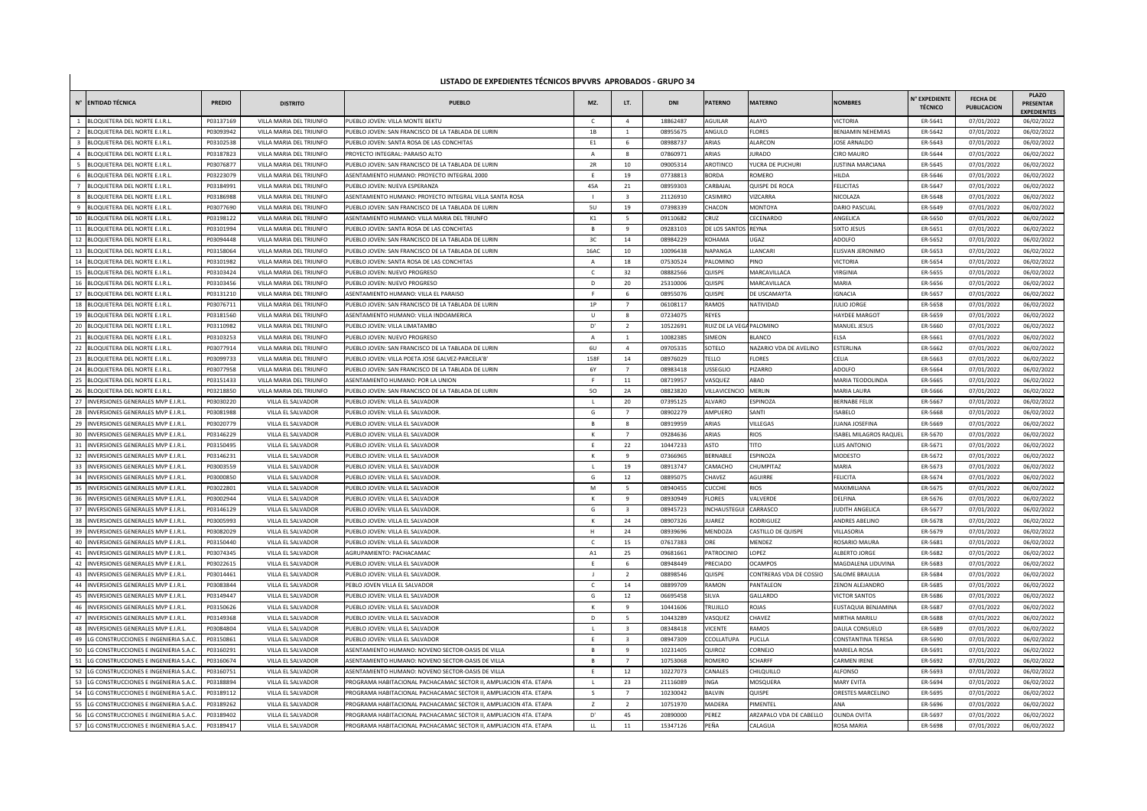## **LISTADO DE EXPEDIENTES TÉCNICOS BPVVRS APROBADOS - GRUPO 34**

|                | N° ENTIDAD TÉCNICA                       | <b>PREDIO</b> | <b>DISTRITO</b>         | <b>PUEBLO</b>                                                     | MZ.            | LT.                     | DNI      | <b>PATERNO</b>      | <b>ATERNO</b>                  | <b>NOMBRES</b>          | <b>I<sup>°</sup> EXPEDIENTE</b><br><b>TÉCNICO</b> | <b>FECHA DE</b><br><b>PUBLICACION</b> | <b>PLAZO</b><br><b>PRESENTAR</b><br><b>EXPEDIENTES</b> |
|----------------|------------------------------------------|---------------|-------------------------|-------------------------------------------------------------------|----------------|-------------------------|----------|---------------------|--------------------------------|-------------------------|---------------------------------------------------|---------------------------------------|--------------------------------------------------------|
|                | BLOQUETERA DEL NORTE E.I.R.L             | P03137169     | VILLA MARIA DEL TRIUNFO | PUEBLO JOVEN: VILLA MONTE BEKTL                                   |                | $\overline{a}$          | 18862487 | AGUILAR             | ALAYO                          | /ICTORIA                | ER-5641                                           | 07/01/2022                            | 06/02/2022                                             |
| $\overline{2}$ | BLOQUETERA DEL NORTE E.I.R.L.            | P03093942     | VILLA MARIA DEL TRIUNFO | PUEBLO JOVEN: SAN FRANCISCO DE LA TABLADA DE LURIN                | 1B             | $\mathbf{1}$            | 08955675 | ANGULO              | <b>LORES</b>                   | BENJAMIN NEHEMIAS       | ER-5642                                           | 07/01/2022                            | 06/02/2022                                             |
|                | BLOQUETERA DEL NORTE E.I.R.L             | P03102538     | VILLA MARIA DEL TRIUNFO | PUEBLO JOVEN: SANTA ROSA DE LAS CONCHITAS                         | F <sub>1</sub> | 6                       | 08988737 | ARIAS               | ALARCON                        | <b>JOSE ARNALDO</b>     | ER-5643                                           | 07/01/2022                            | 06/02/2022                                             |
| $\Delta$       | BLOQUETERA DEL NORTE E.I.R.L.            | P03187823     | VILLA MARIA DEL TRIUNFO | PROYECTO INTEGRAL: PARAISO ALTO                                   | $\overline{A}$ | 8                       | 07860971 | ARIAS               | <b>URADO</b>                   | CIRO MAURO              | ER-5644                                           | 07/01/2022                            | 06/02/2022                                             |
|                | LOQUETERA DEL NORTE E.I.R.L              | P03076877     | VILLA MARIA DEL TRIUNFO | PUEBLO JOVEN: SAN FRANCISCO DE LA TABLADA DE LURIN                | 2R             | 10                      | 09005314 | AROTINCO            | <b><i>FUCRA DE PUCHURI</i></b> | <b>JUSTINA MARCIANA</b> | ER-5645                                           | 07/01/2022                            | 06/02/2022                                             |
|                | LOQUETERA DEL NORTE E.I.R.L              | P03223079     | VILLA MARIA DEL TRIUNFO | ASENTAMIENTO HUMANO: PROYECTO INTEGRAL 2000                       | F              | 19                      | 07738813 | <b>BORDA</b>        | ROMERO                         | HILDA                   | ER-5646                                           | 07/01/2022                            | 06/02/2022                                             |
|                | LOQUETERA DEL NORTE E.I.R.L              | P03184991     | VILLA MARIA DEL TRIUNFO | PUEBLO JOVEN: NUEVA ESPERANZA                                     | 45A            | 21                      | 08959303 | ARBAJAL             | QUISPE DE ROCA                 | <b>FELICITAS</b>        | ER-5647                                           | 07/01/2022                            | 06/02/2022                                             |
|                | BLOQUETERA DEL NORTE E.I.R.L.            | P03186988     | VILLA MARIA DEL TRIUNFO | ASENTAMIENTO HUMANO: PROYECTO INTEGRAL VILLA SANTA ROSA           |                | $\overline{\mathbf{3}}$ | 21126910 | CASIMIRO            | <b>VIZCARRA</b>                | NICOLAZA                | ER-5648                                           | 07/01/2022                            | 06/02/2022                                             |
|                | <b>BLOQUETERA DEL NORTE E.I.R.L</b>      | P03077690     | VILLA MARIA DEL TRIUNFO | PUEBLO JOVEN: SAN FRANCISCO DE LA TABLADA DE LURIN                | 5U             | 19                      | 07398339 | <b>HACON</b>        | MONTOYA                        | DARIO PASCUAL           | ER-5649                                           | 07/01/2022                            | 06/02/2022                                             |
| 10             | <b>BLOQUETERA DEL NORTE E.I.R.L</b>      | P03198122     | VILLA MARIA DEL TRIUNFO | ASENTAMIENTO HUMANO: VILLA MARIA DEL TRIUNFO                      | K1             | $5\overline{5}$         | 09110682 | CRUZ                | CECENARDO                      | ANGELICA                | ER-5650                                           | 07/01/2022                            | 06/02/2022                                             |
| 11             | BLOQUETERA DEL NORTE E.I.R.L             | P03101994     | VILLA MARIA DEL TRIUNFO | PUEBLO JOVEN: SANTA ROSA DE LAS CONCHITAS                         |                | 9                       | 09283103 | DE LOS SANTO        | REYNA                          | <b>SIXTO JESUS</b>      | ER-5651                                           | 07/01/2022                            | 06/02/2022                                             |
| 12             | LOQUETERA DEL NORTE E.I.R.L              | P03094448     | VILLA MARIA DEL TRIUNFO | PUEBLO JOVEN: SAN FRANCISCO DE LA TABLADA DE LURIN                | 3C             | 14                      | 08984229 | KOHAMA              | JGA7                           | ADOLFO                  | ER-5652                                           | 07/01/2022                            | 06/02/2022                                             |
| 13             | LOQUETERA DEL NORTE E.I.R.L              | P03158064     | VILLA MARIA DEL TRIUNFO | PUEBLO JOVEN: SAN FRANCISCO DE LA TABLADA DE LURIN                | 16AC           | $10\,$                  | 10096438 | VAPANGA             | LANCARI                        | ELISVAN JERONIMO        | ER-5653                                           | 07/01/2022                            | 06/02/2022                                             |
| 14             | LOQUETERA DEL NORTE E.I.R.L              | P03101982     | VILLA MARIA DEL TRIUNFO | PUEBLO JOVEN: SANTA ROSA DE LAS CONCHITAS                         | $\overline{A}$ | $18\,$                  | 07530524 | <b>PALOMINO</b>     | <b>ONIS</b>                    | VICTORIA                | ER-5654                                           | 07/01/2022                            | 06/02/2022                                             |
| 15             | LOQUETERA DEL NORTE E.I.R.L              | P03103424     | VILLA MARIA DEL TRIUNFO | PUEBLO JOVEN: NUEVO PROGRESO                                      | $\mathsf{C}$   | 32                      | 08882566 | <b>QUISPE</b>       | MARCAVILLACA                   | /IRGINIA                | ER-5655                                           | 07/01/2022                            | 06/02/2022                                             |
| 16             | LOQUETERA DEL NORTE E.I.R.L              | P03103456     | VILLA MARIA DEL TRIUNFO | PUEBLO JOVEN: NUEVO PROGRESO                                      | D              | 20                      | 25310006 | QUISPE              | MARCAVILLACA                   | MARIA                   | ER-5656                                           | 07/01/2022                            | 06/02/2022                                             |
| 17             | LOQUETERA DEL NORTE E.I.R.L              | P03131210     | VILLA MARIA DEL TRIUNFO | ASENTAMIENTO HUMANO: VILLA EL PARAISO                             |                | 6                       | 08955076 | QUISPE              | DE USCAMAYTA                   | <b>GNACIA</b>           | ER-5657                                           | 07/01/2022                            | 06/02/2022                                             |
| 18             | LOQUETERA DEL NORTE E.I.R.L              | P03076711     | VILLA MARIA DEL TRIUNFO | PUEBLO JOVEN: SAN FRANCISCO DE LA TABLADA DE LURIN                | 1P             | $7^{\circ}$             | 06108117 | RAMOS               | NATIVIDAD                      | <b>JULIO JORGE</b>      | ER-5658                                           | 07/01/2022                            | 06/02/2022                                             |
| 19             | LOQUETERA DEL NORTE E.I.R.L              | P03181560     | VILLA MARIA DEL TRIUNFO | ASENTAMIENTO HUMANO: VILLA INDOAMERICA                            | $\cup$         | $\boldsymbol{8}$        | 07234075 | REYES               |                                | <b>HAYDEE MARGOT</b>    | ER-5659                                           | 07/01/2022                            | 06/02/2022                                             |
| 20             | LOQUETERA DEL NORTE E.I.R.L              | P03110982     | VILLA MARIA DEL TRIUNFO | PUEBLO JOVEN: VILLA LIMATAMBO                                     | D'             | $\overline{2}$          | 10522691 | RUIZ DE LA VEGA     | PALOMINO                       | MANUEL JESUS            | ER-5660                                           | 07/01/2022                            | 06/02/2022                                             |
| 21             | LOQUETERA DEL NORTE E.I.R.L              | P03103253     | VILLA MARIA DEL TRIUNFO | PUEBLO JOVEN: NUEVO PROGRESO                                      | $\overline{A}$ | $\mathbf{1}$            | 10082385 | SIMEON              | LANCO                          | <b>ISA</b>              | ER-5661                                           | 07/01/2022                            | 06/02/2022                                             |
| 22             | BLOQUETERA DEL NORTE E.I.R.L             | P03077914     | VILLA MARIA DEL TRIUNFO | PUEBLO JOVEN: SAN FRANCISCO DE LA TABLADA DE LURIN                | 6U             | $\overline{4}$          | 09705335 | SOTELO              | NAZARIO VDA DE AVELINO         | ESTERLINA               | ER-5662                                           | 07/01/2022                            | 06/02/2022                                             |
| 23             | BLOQUETERA DEL NORTE E.I.R.L             | P03099733     | VILLA MARIA DEL TRIUNFO | PUEBLO JOVEN: VILLA POETA JOSE GALVEZ-PARCELA'B                   | 158F           | 14                      | 08976029 | ELLO                | LORES                          | ELIA                    | ER-5663                                           | 07/01/2022                            | 06/02/2022                                             |
| 24             | LOQUETERA DEL NORTE E.I.R.L              | P03077958     | VILLA MARIA DEL TRIUNFO | PUEBLO JOVEN: SAN FRANCISCO DE LA TABLADA DE LURIN                | 6Y             | $\overline{7}$          | 08983418 | USSEGLIO            | <b>IZARRO</b>                  | ADOLFO                  | ER-5664                                           | 07/01/2022                            | 06/02/2022                                             |
| 25             | LOQUETERA DEL NORTE E.I.R.L              | P03151433     | VILLA MARIA DEL TRIUNFO | ASENTAMIENTO HUMANO: POR LA UNION                                 |                | $11\,$                  | 08719957 | ASQUEZ              | ABAD                           | MARIA TEODOLINDA        | ER-5665                                           | 07/01/2022                            | 06/02/2022                                             |
| 26             | LOQUETERA DEL NORTE E.I.R.L              | P03218850     | VILLA MARIA DEL TRIUNFO | PUEBLO JOVEN: SAN FRANCISCO DE LA TABLADA DE LURIN                | 50             | 2A                      | 08823820 | <b>ILLAVICENCIO</b> | MERLIN                         | MARIA LAURA             | ER-5666                                           | 07/01/2022                            | 06/02/2022                                             |
| 27             | INVERSIONES GENERALES MVP E.I.R.L        | P03030220     | VILLA EL SALVADOR       | PUEBLO JOVEN: VILLA EL SALVADOR                                   |                | 20                      | 07395125 | <b>AIVARO</b>       | SPINOZA                        | BERNABE FELIX           | ER-5667                                           | 07/01/2022                            | 06/02/2022                                             |
| 28             | INVERSIONES GENERALES MVP F.I.R.I        | P03081988     | VILLA EL SALVADOR       | PUFBLO JOVEN: VILLA FL SALVADOR                                   | G              | $7^{\circ}$             | 08902279 | AMPUERO             | SANTI                          | <b>ISABELO</b>          | ER-5668                                           | 07/01/2022                            | 06/02/2022                                             |
| 29             | INVERSIONES GENERALES MVP E.L.R.L        | P03020779     | VIII A FL SALVADOR      | PUEBLO JOVEN: VILLA EL SALVADOR                                   | <b>B</b>       | 8                       | 08919959 | ARIAS               | <b>VILLEGAS</b>                | <b>IUANA IOSFFINA</b>   | FR-5669                                           | 07/01/2022                            | 06/02/2022                                             |
| 30             | INVERSIONES GENERALES MVP F.I.R.I        | P03146229     | VIII A FL SALVADOR      | PUFBLO JOVEN: VILLA FL SALVADOR                                   | $\mathsf{K}$   | $7\overline{ }$         | 09284636 | ARIAS               | <b>RIOS</b>                    | ISABEL MILAGROS RAQUEL  | ER-5670                                           | 07/01/2022                            | 06/02/2022                                             |
| 31             | INVERSIONES GENERALES MVP F.I.R.I        | P03150495     | VIII A FL SALVADOR      | PUEBLO JOVEN: VILLA EL SALVADOR                                   |                | 22                      | 10447233 | ASTO                | <b>ITO</b>                     | LUIS ANTONIO            | ER-5671                                           | 07/01/2022                            | 06/02/2022                                             |
| 32             | INVERSIONES GENERALES MVP F.I.R.I        | P03146231     | VIIIA FL SALVADOR       | PUFBLO JOVEN: VILLA FL SALVADOR                                   | $\mathbf{k}$   | $\mathbf{q}$            | 07366965 | <b>BERNABLE</b>     | ESPINOZA                       | <b>MODESTO</b>          | ER-5672                                           | 07/01/2022                            | 06/02/2022                                             |
| 33             | INVERSIONES GENERALES MVP E.I.R.L        | P03003559     | VIIIA FL SALVADOR       | PUEBLO JOVEN: VILLA EL SALVADOR                                   |                | 19                      | 08913747 | AMACHO              | <b>HUMPITA7</b>                | MARIA                   | ER-5673                                           | 07/01/2022                            | 06/02/2022                                             |
| 34             | INVERSIONES GENERALES MVP F.I.R.I        | P03000850     | VILLA EL SALVADOR       | PUEBLO JOVEN: VILLA EL SALVADOR                                   | G              | 12                      | 08895075 | <b>HAVEZ</b>        | AGUIRRE                        | FELICITA                | ER-5674                                           | 07/01/2022                            | 06/02/2022                                             |
| 35             | <b>INVERSIONES GENERALES MVP E.I.R.L</b> | P03022801     | VILLA EL SALVADOR       | PUEBLO JOVEN: VILLA EL SALVADOR                                   | M              | -5                      | 08940455 | <b>LUCCHE</b>       | <b>IOS</b>                     | MAXIMILIANA             | ER-5675                                           | 07/01/2022                            | 06/02/2022                                             |
| 36             | NVERSIONES GENERALES MVP E.I.R.L         | P03002944     | VILLA EL SALVADOR       | PUFBLO JOVEN: VILLA FL SALVADOR                                   |                | $\mathbf{q}$            | 08930949 | <b>FI ORES</b>      | <b>ALVERDE</b>                 | <b>DELEINA</b>          | ER-5676                                           | 07/01/2022                            | 06/02/2022                                             |
| 37             | INVERSIONES GENERALES MVP E.I.R.L        | P03146129     | VILLA EL SALVADOR       | PUEBLO JOVEN: VILLA EL SALVADOR.                                  | G              | $\overline{3}$          | 08945723 | NCHAUSTEGUI         | CARRASCO                       | JUDITH ANGELICA         | FR-5677                                           | 07/01/2022                            | 06/02/2022                                             |
| 38             | INVERSIONES GENERALES MVP E.I.R.L        | P03005993     | VILLA EL SALVADOR       | PUEBLO JOVEN: VILLA EL SALVADOR                                   | $\mathbf{k}$   | 24                      | 08907326 | <b>IIARF7</b>       | <b>ODRIGUEZ</b>                | <b>ANDRES ABELINO</b>   | FR-5678                                           | 07/01/2022                            | 06/02/2022                                             |
| 39             | NVERSIONES GENERALES MVP E.I.R.L         | P03082029     | VILLA EL SALVADOR       | PUEBLO JOVEN: VILLA EL SALVADOR                                   | H              | 24                      | 08939696 | MENDOZA             | CASTILLO DE QUISPE             | VILLASORIA              | ER-5679                                           | 07/01/2022                            | 06/02/2022                                             |
| 40             | NVERSIONES GENERALES MVP E.I.R.L         | P03150440     | VILLA EL SALVADOR       | PUEBLO JOVEN: VILLA EL SALVADOR                                   |                | 15                      | 07617383 | <b>DRF</b>          | <b>MENDEZ</b>                  | ROSARIO MAURA           | ER-5681                                           | 07/01/2022                            | 06/02/2022                                             |
| 41             | INVERSIONES GENERALES MVP F.I.R.I        | P03074345     | VILLA EL SALVADOR       | AGRUPAMIENTO: PACHACAMAC                                          | A1             | 25                      | 09681661 | PATROCINIO          | OPEZ                           | AI BERTO IORGE          | FR-5682                                           | 07/01/2022                            | 06/02/2022                                             |
| 42             | NVERSIONES GENERALES MVP E.I.R.L         | P03022615     | VILLA EL SALVADOR       | PUEBLO JOVEN: VILLA EL SALVADOR                                   |                | 6                       | 08948449 | RECIADO             | <b>CAMPOS</b>                  | MAGDALENA LIDUVINA      | ER-5683                                           | 07/01/2022                            | 06/02/2022                                             |
| 43             | NVERSIONES GENERALES MVP E.I.R.L         | P03014461     | VILLA EL SALVADOR       | PUEBLO JOVEN: VILLA EL SALVADOR                                   |                | $\overline{2}$          | 08898546 | QUISPE              | CONTRERAS VDA DE COSSIO        | SALOME BRAULIA          | ER-5684                                           | 07/01/2022                            | 06/02/2022                                             |
| $\Lambda$      | NVERSIONES GENERALES MVP E.I.R.L         | P03083844     | VILLA EL SALVADOR       | PEBLO JOVEN VILLA EL SALVADOR                                     |                | 14                      | 08899709 | RAMON               | PANTALEON                      | <b>ENON ALEJANDRO</b>   | ER-5685                                           | 07/01/2022                            | 06/02/2022                                             |
| 45             | INVERSIONES GENERALES MVP E.I.R.L        | P03149447     | VILLA EL SALVADOR       | PUEBLO JOVEN: VILLA EL SALVADOR                                   | G              | 12                      | 06695458 | SILVA               | <b>GALLARDO</b>                | <b>ICTOR SANTOS</b>     | ER-5686                                           | 07/01/2022                            | 06/02/2022                                             |
| 46             | INVERSIONES GENERALES MVP E.I.R.L        | P03150626     | VILLA EL SALVADOR       | PUEBLO JOVEN: VILLA EL SALVADOR                                   | K              | 9                       | 10441606 | RUJILLO             | ROJAS                          | EUSTAQUIA BENJAMINA     | ER-5687                                           | 07/01/2022                            | 06/02/2022                                             |
| 47             | INVERSIONES GENERALES MVP E.I.R.L.       | P03149368     | VILLA EL SALVADOR       | PUEBLO JOVEN: VILLA EL SALVADOR                                   | D              | 5 <sup>5</sup>          | 10443289 | VASQUEZ             | CHAVEZ                         | MIRTHA MARILU           | ER-5688                                           | 07/01/2022                            | 06/02/2022                                             |
| 48             | INVERSIONES GENERALES MVP E.I.R.L        | P03084804     | VILLA EL SALVADOR       | PUEBLO JOVEN: VILLA EL SALVADOR                                   |                | $\overline{\mathbf{3}}$ | 08348418 | <b>ICENTE</b>       | RAMOS                          | DALILA CONSUELO         | ER-5689                                           | 07/01/2022                            | 06/02/2022                                             |
| 49             | G CONSTRUCCIONES E INGENIERIA S.A        | P03150861     | VILLA EL SALVADOR       | PUEBLO JOVEN: VILLA EL SALVADOR                                   | E              | $\overline{\mathbf{3}}$ | 08947309 | COLLATUP            | PUCLLA                         | CONSTANTINA TERESA      | ER-5690                                           | 07/01/2022                            | 06/02/2022                                             |
| 50             | G CONSTRUCCIONES E INGENIERIA S.A.       | P03160291     | VILLA EL SALVADOR       | ASENTAMIENTO HUMANO: NOVENO SECTOR-OASIS DE VILLA                 | B              | 9                       | 10231405 | QUIROZ              | CORNEJO                        | <b>MARIELA ROSA</b>     | ER-5691                                           | 07/01/2022                            | 06/02/2022                                             |
| 51             | <b>G CONSTRUCCIONES E INGENIERIA S.A</b> | P03160674     | VILLA EL SALVADOR       | ASENTAMIENTO HUMANO: NOVENO SECTOR-OASIS DE VILLA                 | B              | $7\overline{ }$         | 10753068 | ROMERO              | SCHARFF                        | CARMEN IRENE            | ER-5692                                           | 07/01/2022                            | 06/02/2022                                             |
| 52             | G CONSTRUCCIONES E INGENIERIA S.A.       | P03160751     | VILLA EL SALVADOR       | ASENTAMIENTO HUMANO: NOVENO SECTOR-OASIS DE VILLA                 |                | 12                      | 10227073 | <b>ANALES</b>       | CHILQUILLO                     | ALFONSO                 | ER-5693                                           | 07/01/2022                            | 06/02/2022                                             |
| 53             | <b>G CONSTRUCCIONES E INGENIERIA S.A</b> | P03188894     | VILLA EL SALVADOR       | PROGRAMA HABITACIONAL PACHACAMAC SECTOR II, AMPLIACION 4TA. ETAPA | $\mathbf{L}$   | 23                      | 21116089 | <b>NGA</b>          | MOSQUERA                       | MARY EVITA              | ER-5694                                           | 07/01/2022                            | 06/02/2022                                             |
| 54             | G CONSTRUCCIONES E INGENIERIA S.A.C      | P03189112     | VILLA EL SALVADOR       | PROGRAMA HABITACIONAL PACHACAMAC SECTOR II, AMPLIACION 4TA. ETAPA | s              | $\overline{7}$          | 10230042 | BALVIN              | QUISPE                         | ORESTES MARCELINO       | ER-5695                                           | 07/01/2022                            | 06/02/2022                                             |
| 55             | G CONSTRUCCIONES E INGENIERIA S.A.       | P03189262     | VILLA EL SALVADOR       | PROGRAMA HABITACIONAL PACHACAMAC SECTOR II, AMPLIACION 4TA. ETAPA | z              | <sup>2</sup>            | 10751970 | MADERA              | PIMENTEL                       | ANA                     | ER-5696                                           | 07/01/2022                            | 06/02/2022                                             |
| 56             | G CONSTRUCCIONES E INGENIERIA S.A.C      | P03189402     | VILLA EL SALVADOR       | PROGRAMA HABITACIONAL PACHACAMAC SECTOR II, AMPLIACION 4TA. ETAPA | D'             | 45                      | 20890000 | PEREZ               | ARZAPALO VDA DE CABELLO        | OLINDA OVITA            | ER-5697                                           | 07/01/2022                            | 06/02/2022                                             |
| 57             | LG CONSTRUCCIONES E INGENIERIA S.A.C.    | P03189417     | VILLA EL SALVADOR       | PROGRAMA HABITACIONAL PACHACAMAC SECTOR II, AMPLIACION 4TA. ETAPA | $\mathbf{H}$   | $11\,$                  | 15347126 | PEÑA                | CALAGUA                        | ROSA MARIA              | FR-5698                                           | 07/01/2022                            | 06/02/2022                                             |
|                |                                          |               |                         |                                                                   |                |                         |          |                     |                                |                         |                                                   |                                       |                                                        |